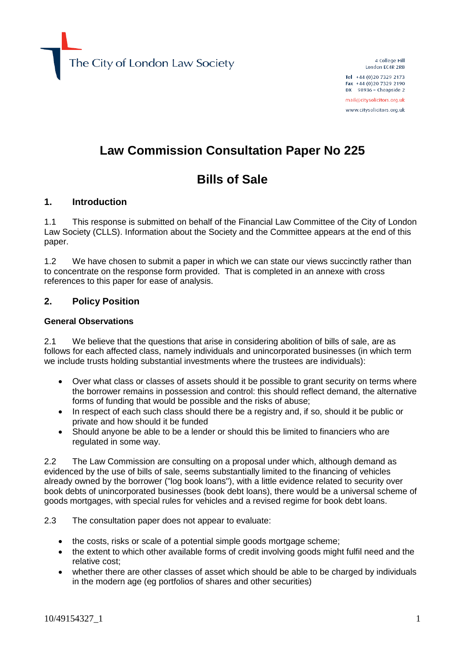The City of London Law Society

4 College Hill London EC4R 2RB Tel +44 (0) 20 7329 2173

Fax +44 (0)20 7329 2190 DX  $98936$  - Cheapside 2

mail@citysolicitors.org.uk www.citysolicitors.org.uk

# **Law Commission Consultation Paper No 225**

# **Bills of Sale**

#### **1. Introduction**

1.1 This response is submitted on behalf of the Financial Law Committee of the City of London Law Society (CLLS). Information about the Society and the Committee appears at the end of this paper.

1.2 We have chosen to submit a paper in which we can state our views succinctly rather than to concentrate on the response form provided. That is completed in an annexe with cross references to this paper for ease of analysis.

#### **2. Policy Position**

#### **General Observations**

2.1 We believe that the questions that arise in considering abolition of bills of sale, are as follows for each affected class, namely individuals and unincorporated businesses (in which term we include trusts holding substantial investments where the trustees are individuals):

- Over what class or classes of assets should it be possible to grant security on terms where the borrower remains in possession and control: this should reflect demand, the alternative forms of funding that would be possible and the risks of abuse;
- In respect of each such class should there be a registry and, if so, should it be public or private and how should it be funded
- Should anyone be able to be a lender or should this be limited to financiers who are regulated in some way.

2.2 The Law Commission are consulting on a proposal under which, although demand as evidenced by the use of bills of sale, seems substantially limited to the financing of vehicles already owned by the borrower ("log book loans"), with a little evidence related to security over book debts of unincorporated businesses (book debt loans), there would be a universal scheme of goods mortgages, with special rules for vehicles and a revised regime for book debt loans.

2.3 The consultation paper does not appear to evaluate:

- the costs, risks or scale of a potential simple goods mortgage scheme;
- the extent to which other available forms of credit involving goods might fulfil need and the relative cost;
- whether there are other classes of asset which should be able to be charged by individuals in the modern age (eg portfolios of shares and other securities)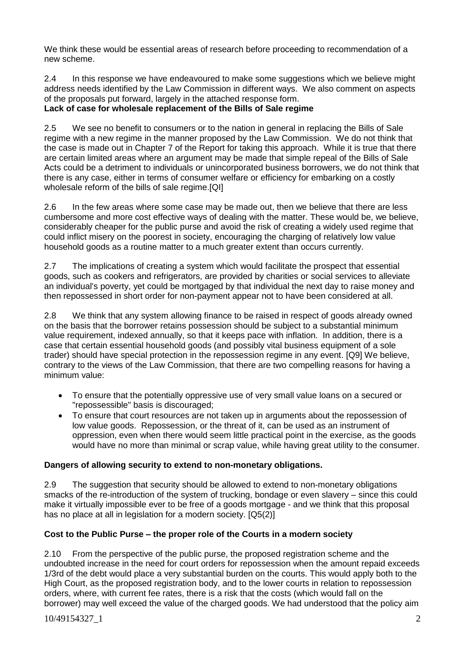We think these would be essential areas of research before proceeding to recommendation of a new scheme.

2.4 In this response we have endeavoured to make some suggestions which we believe might address needs identified by the Law Commission in different ways. We also comment on aspects of the proposals put forward, largely in the attached response form.

## **Lack of case for wholesale replacement of the Bills of Sale regime**

2.5 We see no benefit to consumers or to the nation in general in replacing the Bills of Sale regime with a new regime in the manner proposed by the Law Commission. We do not think that the case is made out in Chapter 7 of the Report for taking this approach. While it is true that there are certain limited areas where an argument may be made that simple repeal of the Bills of Sale Acts could be a detriment to individuals or unincorporated business borrowers, we do not think that there is any case, either in terms of consumer welfare or efficiency for embarking on a costly wholesale reform of the bills of sale regime.[QI]

2.6 In the few areas where some case may be made out, then we believe that there are less cumbersome and more cost effective ways of dealing with the matter. These would be, we believe, considerably cheaper for the public purse and avoid the risk of creating a widely used regime that could inflict misery on the poorest in society, encouraging the charging of relatively low value household goods as a routine matter to a much greater extent than occurs currently.

2.7 The implications of creating a system which would facilitate the prospect that essential goods, such as cookers and refrigerators, are provided by charities or social services to alleviate an individual's poverty, yet could be mortgaged by that individual the next day to raise money and then repossessed in short order for non-payment appear not to have been considered at all.

2.8 We think that any system allowing finance to be raised in respect of goods already owned on the basis that the borrower retains possession should be subject to a substantial minimum value requirement, indexed annually, so that it keeps pace with inflation. In addition, there is a case that certain essential household goods (and possibly vital business equipment of a sole trader) should have special protection in the repossession regime in any event. [Q9] We believe, contrary to the views of the Law Commission, that there are two compelling reasons for having a minimum value:

- To ensure that the potentially oppressive use of very small value loans on a secured or "repossessible" basis is discouraged;
- To ensure that court resources are not taken up in arguments about the repossession of low value goods. Repossession, or the threat of it, can be used as an instrument of oppression, even when there would seem little practical point in the exercise, as the goods would have no more than minimal or scrap value, while having great utility to the consumer.

### **Dangers of allowing security to extend to non-monetary obligations.**

2.9 The suggestion that security should be allowed to extend to non-monetary obligations smacks of the re-introduction of the system of trucking, bondage or even slavery – since this could make it virtually impossible ever to be free of a goods mortgage - and we think that this proposal has no place at all in legislation for a modern society. [Q5(2)]

# **Cost to the Public Purse – the proper role of the Courts in a modern society**

2.10 From the perspective of the public purse, the proposed registration scheme and the undoubted increase in the need for court orders for repossession when the amount repaid exceeds 1/3rd of the debt would place a very substantial burden on the courts. This would apply both to the High Court, as the proposed registration body, and to the lower courts in relation to repossession orders, where, with current fee rates, there is a risk that the costs (which would fall on the borrower) may well exceed the value of the charged goods. We had understood that the policy aim

10/49154327\_1 2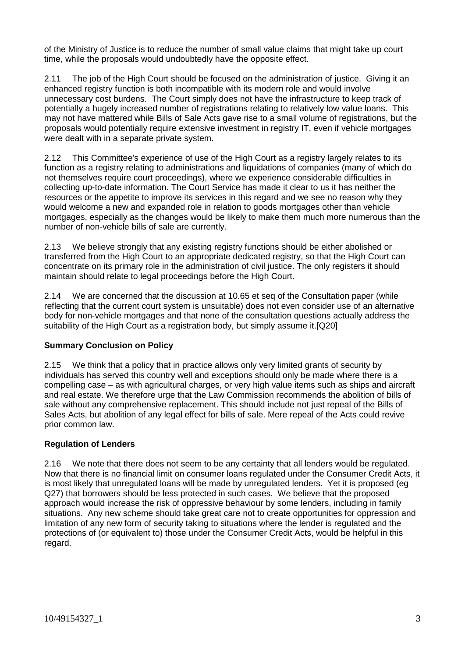of the Ministry of Justice is to reduce the number of small value claims that might take up court time, while the proposals would undoubtedly have the opposite effect.

2.11 The job of the High Court should be focused on the administration of justice. Giving it an enhanced registry function is both incompatible with its modern role and would involve unnecessary cost burdens. The Court simply does not have the infrastructure to keep track of potentially a hugely increased number of registrations relating to relatively low value loans. This may not have mattered while Bills of Sale Acts gave rise to a small volume of registrations, but the proposals would potentially require extensive investment in registry IT, even if vehicle mortgages were dealt with in a separate private system.

2.12 This Committee's experience of use of the High Court as a registry largely relates to its function as a registry relating to administrations and liquidations of companies (many of which do not themselves require court proceedings), where we experience considerable difficulties in collecting up-to-date information. The Court Service has made it clear to us it has neither the resources or the appetite to improve its services in this regard and we see no reason why they would welcome a new and expanded role in relation to goods mortgages other than vehicle mortgages, especially as the changes would be likely to make them much more numerous than the number of non-vehicle bills of sale are currently.

2.13 We believe strongly that any existing registry functions should be either abolished or transferred from the High Court to an appropriate dedicated registry, so that the High Court can concentrate on its primary role in the administration of civil justice. The only registers it should maintain should relate to legal proceedings before the High Court.

2.14 We are concerned that the discussion at 10.65 et seq of the Consultation paper (while reflecting that the current court system is unsuitable) does not even consider use of an alternative body for non-vehicle mortgages and that none of the consultation questions actually address the suitability of the High Court as a registration body, but simply assume it.[Q20]

### **Summary Conclusion on Policy**

2.15 We think that a policy that in practice allows only very limited grants of security by individuals has served this country well and exceptions should only be made where there is a compelling case – as with agricultural charges, or very high value items such as ships and aircraft and real estate. We therefore urge that the Law Commission recommends the abolition of bills of sale without any comprehensive replacement. This should include not just repeal of the Bills of Sales Acts, but abolition of any legal effect for bills of sale. Mere repeal of the Acts could revive prior common law.

#### **Regulation of Lenders**

2.16 We note that there does not seem to be any certainty that all lenders would be regulated. Now that there is no financial limit on consumer loans regulated under the Consumer Credit Acts, it is most likely that unregulated loans will be made by unregulated lenders. Yet it is proposed (eg Q27) that borrowers should be less protected in such cases. We believe that the proposed approach would increase the risk of oppressive behaviour by some lenders, including in family situations. Any new scheme should take great care not to create opportunities for oppression and limitation of any new form of security taking to situations where the lender is regulated and the protections of (or equivalent to) those under the Consumer Credit Acts, would be helpful in this regard.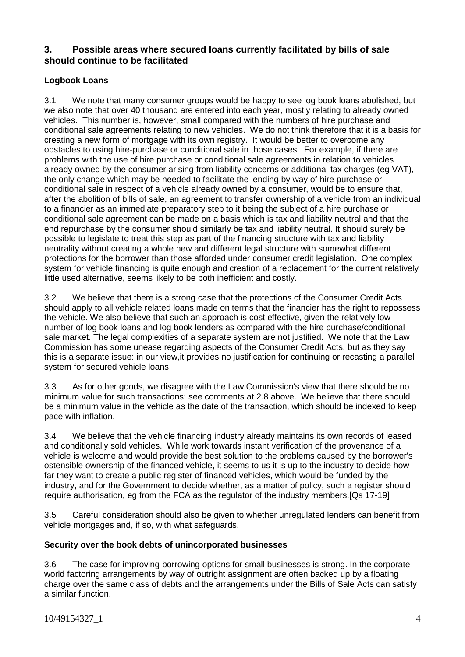## **3. Possible areas where secured loans currently facilitated by bills of sale should continue to be facilitated**

## **Logbook Loans**

3.1 We note that many consumer groups would be happy to see log book loans abolished, but we also note that over 40 thousand are entered into each year, mostly relating to already owned vehicles. This number is, however, small compared with the numbers of hire purchase and conditional sale agreements relating to new vehicles. We do not think therefore that it is a basis for creating a new form of mortgage with its own registry. It would be better to overcome any obstacles to using hire-purchase or conditional sale in those cases. For example, if there are problems with the use of hire purchase or conditional sale agreements in relation to vehicles already owned by the consumer arising from liability concerns or additional tax charges (eg VAT), the only change which may be needed to facilitate the lending by way of hire purchase or conditional sale in respect of a vehicle already owned by a consumer, would be to ensure that, after the abolition of bills of sale, an agreement to transfer ownership of a vehicle from an individual to a financier as an immediate preparatory step to it being the subject of a hire purchase or conditional sale agreement can be made on a basis which is tax and liability neutral and that the end repurchase by the consumer should similarly be tax and liability neutral. It should surely be possible to legislate to treat this step as part of the financing structure with tax and liability neutrality without creating a whole new and different legal structure with somewhat different protections for the borrower than those afforded under consumer credit legislation. One complex system for vehicle financing is quite enough and creation of a replacement for the current relatively little used alternative, seems likely to be both inefficient and costly.

3.2 We believe that there is a strong case that the protections of the Consumer Credit Acts should apply to all vehicle related loans made on terms that the financier has the right to repossess the vehicle. We also believe that such an approach is cost effective, given the relatively low number of log book loans and log book lenders as compared with the hire purchase/conditional sale market. The legal complexities of a separate system are not justified. We note that the Law Commission has some unease regarding aspects of the Consumer Credit Acts, but as they say this is a separate issue: in our view,it provides no justification for continuing or recasting a parallel system for secured vehicle loans.

3.3 As for other goods, we disagree with the Law Commission's view that there should be no minimum value for such transactions: see comments at 2.8 above. We believe that there should be a minimum value in the vehicle as the date of the transaction, which should be indexed to keep pace with inflation.

3.4 We believe that the vehicle financing industry already maintains its own records of leased and conditionally sold vehicles. While work towards instant verification of the provenance of a vehicle is welcome and would provide the best solution to the problems caused by the borrower's ostensible ownership of the financed vehicle, it seems to us it is up to the industry to decide how far they want to create a public register of financed vehicles, which would be funded by the industry, and for the Government to decide whether, as a matter of policy, such a register should require authorisation, eg from the FCA as the regulator of the industry members.[Qs 17-19]

3.5 Careful consideration should also be given to whether unregulated lenders can benefit from vehicle mortgages and, if so, with what safeguards.

### **Security over the book debts of unincorporated businesses**

3.6 The case for improving borrowing options for small businesses is strong. In the corporate world factoring arrangements by way of outright assignment are often backed up by a floating charge over the same class of debts and the arrangements under the Bills of Sale Acts can satisfy a similar function.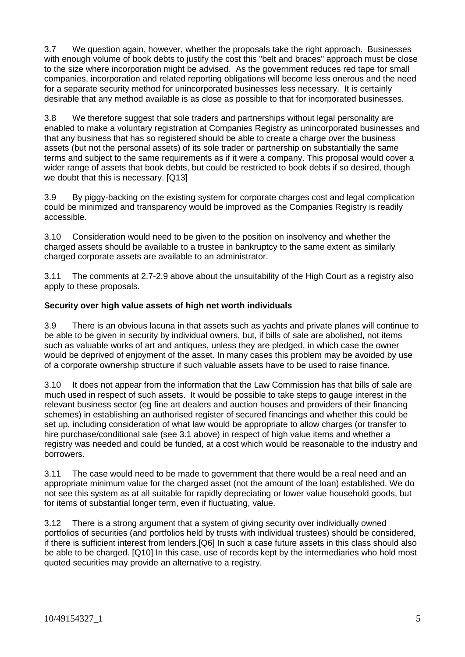3.7 We question again, however, whether the proposals take the right approach. Businesses with enough volume of book debts to justify the cost this "belt and braces" approach must be close to the size where incorporation might be advised. As the government reduces red tape for small companies, incorporation and related reporting obligations will become less onerous and the need for a separate security method for unincorporated businesses less necessary. It is certainly desirable that any method available is as close as possible to that for incorporated businesses.

3.8 We therefore suggest that sole traders and partnerships without legal personality are enabled to make a voluntary registration at Companies Registry as unincorporated businesses and that any business that has so registered should be able to create a charge over the business assets (but not the personal assets) of its sole trader or partnership on substantially the same terms and subject to the same requirements as if it were a company. This proposal would cover a wider range of assets that book debts, but could be restricted to book debts if so desired, though we doubt that this is necessary. [Q13]

3.9 By piggy-backing on the existing system for corporate charges cost and legal complication could be minimized and transparency would be improved as the Companies Registry is readily accessible.

3.10 Consideration would need to be given to the position on insolvency and whether the charged assets should be available to a trustee in bankruptcy to the same extent as similarly charged corporate assets are available to an administrator.

3.11 The comments at 2.7-2.9 above about the unsuitability of the High Court as a registry also apply to these proposals.

#### **Security over high value assets of high net worth individuals**

3.9 There is an obvious lacuna in that assets such as yachts and private planes will continue to be able to be given in security by individual owners, but, if bills of sale are abolished, not items such as valuable works of art and antiques, unless they are pledged, in which case the owner would be deprived of enjoyment of the asset. In many cases this problem may be avoided by use of a corporate ownership structure if such valuable assets have to be used to raise finance.

3.10 It does not appear from the information that the Law Commission has that bills of sale are much used in respect of such assets. It would be possible to take steps to gauge interest in the relevant business sector (eg fine art dealers and auction houses and providers of their financing schemes) in establishing an authorised register of secured financings and whether this could be set up, including consideration of what law would be appropriate to allow charges (or transfer to hire purchase/conditional sale (see 3.1 above) in respect of high value items and whether a registry was needed and could be funded, at a cost which would be reasonable to the industry and borrowers.

3.11 The case would need to be made to government that there would be a real need and an appropriate minimum value for the charged asset (not the amount of the loan) established. We do not see this system as at all suitable for rapidly depreciating or lower value household goods, but for items of substantial longer term, even if fluctuating, value.

3.12 There is a strong argument that a system of giving security over individually owned portfolios of securities (and portfolios held by trusts with individual trustees) should be considered, if there is sufficient interest from lenders.[Q6] In such a case future assets in this class should also be able to be charged. [Q10] In this case, use of records kept by the intermediaries who hold most quoted securities may provide an alternative to a registry.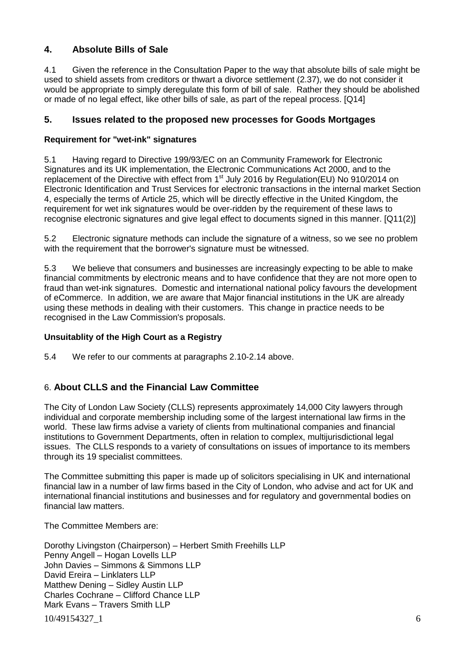# **4. Absolute Bills of Sale**

4.1 Given the reference in the Consultation Paper to the way that absolute bills of sale might be used to shield assets from creditors or thwart a divorce settlement (2.37), we do not consider it would be appropriate to simply deregulate this form of bill of sale. Rather they should be abolished or made of no legal effect, like other bills of sale, as part of the repeal process. [Q14]

# **5. Issues related to the proposed new processes for Goods Mortgages**

### **Requirement for "wet-ink" signatures**

5.1 Having regard to Directive 199/93/EC on an Community Framework for Electronic Signatures and its UK implementation, the Electronic Communications Act 2000, and to the replacement of the Directive with effect from 1<sup>st</sup> July 2016 by Regulation(EU) No 910/2014 on Electronic Identification and Trust Services for electronic transactions in the internal market Section 4, especially the terms of Article 25, which will be directly effective in the United Kingdom, the requirement for wet ink signatures would be over-ridden by the requirement of these laws to recognise electronic signatures and give legal effect to documents signed in this manner. [Q11(2)]

5.2 Electronic signature methods can include the signature of a witness, so we see no problem with the requirement that the borrower's signature must be witnessed.

5.3 We believe that consumers and businesses are increasingly expecting to be able to make financial commitments by electronic means and to have confidence that they are not more open to fraud than wet-ink signatures. Domestic and international national policy favours the development of eCommerce. In addition, we are aware that Major financial institutions in the UK are already using these methods in dealing with their customers. This change in practice needs to be recognised in the Law Commission's proposals.

### **Unsuitablity of the High Court as a Registry**

5.4 We refer to our comments at paragraphs 2.10-2.14 above.

# 6. **About CLLS and the Financial Law Committee**

The City of London Law Society (CLLS) represents approximately 14,000 City lawyers through individual and corporate membership including some of the largest international law firms in the world. These law firms advise a variety of clients from multinational companies and financial institutions to Government Departments, often in relation to complex, multijurisdictional legal issues. The CLLS responds to a variety of consultations on issues of importance to its members through its 19 specialist committees.

The Committee submitting this paper is made up of solicitors specialising in UK and international financial law in a number of law firms based in the City of London, who advise and act for UK and international financial institutions and businesses and for regulatory and governmental bodies on financial law matters.

The Committee Members are:

10/49154327\_1 6 Dorothy Livingston (Chairperson) – Herbert Smith Freehills LLP Penny Angell – Hogan Lovells LLP John Davies – Simmons & Simmons LLP David Ereira – Linklaters LLP Matthew Dening – Sidley Austin LLP Charles Cochrane – Clifford Chance LLP Mark Evans – Travers Smith LLP